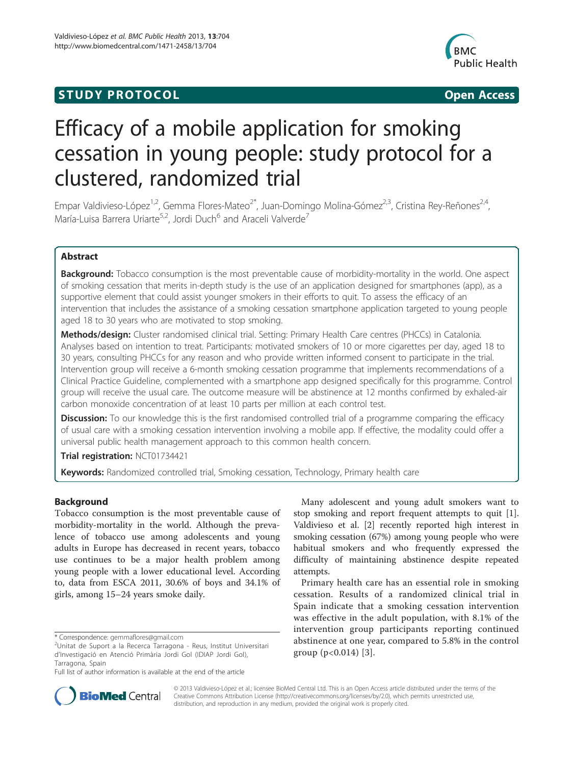## **STUDY PROTOCOL CONSUMING THE CONSUMING OPEN ACCESS**



# Efficacy of a mobile application for smoking cessation in young people: study protocol for a clustered, randomized trial

Empar Valdivieso-López<sup>1,2</sup>, Gemma Flores-Mateo<sup>2\*</sup>, Juan-Domingo Molina-Gómez<sup>2,3</sup>, Cristina Rey-Reñones<sup>2,4</sup>, María-Luisa Barrera Uriarte<sup>5,2</sup>, Jordi Duch<sup>6</sup> and Araceli Valverde<sup>7</sup>

## Abstract

**Background:** Tobacco consumption is the most preventable cause of morbidity-mortality in the world. One aspect of smoking cessation that merits in-depth study is the use of an application designed for smartphones (app), as a supportive element that could assist younger smokers in their efforts to quit. To assess the efficacy of an intervention that includes the assistance of a smoking cessation smartphone application targeted to young people aged 18 to 30 years who are motivated to stop smoking.

Methods/design: Cluster randomised clinical trial. Setting: Primary Health Care centres (PHCCs) in Catalonia. Analyses based on intention to treat. Participants: motivated smokers of 10 or more cigarettes per day, aged 18 to 30 years, consulting PHCCs for any reason and who provide written informed consent to participate in the trial. Intervention group will receive a 6-month smoking cessation programme that implements recommendations of a Clinical Practice Guideline, complemented with a smartphone app designed specifically for this programme. Control group will receive the usual care. The outcome measure will be abstinence at 12 months confirmed by exhaled-air carbon monoxide concentration of at least 10 parts per million at each control test.

**Discussion:** To our knowledge this is the first randomised controlled trial of a programme comparing the efficacy of usual care with a smoking cessation intervention involving a mobile app. If effective, the modality could offer a universal public health management approach to this common health concern.

Trial registration: [NCT01734421](http://clinicaltrials.gov/show/NCT01734421)

Keywords: Randomized controlled trial, Smoking cessation, Technology, Primary health care

## Background

Tobacco consumption is the most preventable cause of morbidity-mortality in the world. Although the prevalence of tobacco use among adolescents and young adults in Europe has decreased in recent years, tobacco use continues to be a major health problem among young people with a lower educational level. According to, data from ESCA 2011, 30.6% of boys and 34.1% of girls, among 15–24 years smoke daily.

Many adolescent and young adult smokers want to stop smoking and report frequent attempts to quit [\[1](#page-5-0)]. Valdivieso et al. [\[2\]](#page-5-0) recently reported high interest in smoking cessation (67%) among young people who were habitual smokers and who frequently expressed the difficulty of maintaining abstinence despite repeated attempts.

Primary health care has an essential role in smoking cessation. Results of a randomized clinical trial in Spain indicate that a smoking cessation intervention was effective in the adult population, with 8.1% of the intervention group participants reporting continued abstinence at one year, compared to 5.8% in the control group  $(p<0.014)$  [[3\]](#page-5-0).



© 2013 Valdivieso-López et al.; licensee BioMed Central Ltd. This is an Open Access article distributed under the terms of the Creative Commons Attribution License (<http://creativecommons.org/licenses/by/2.0>), which permits unrestricted use, distribution, and reproduction in any medium, provided the original work is properly cited.

<sup>\*</sup> Correspondence: [gemmaflores@gmail.com](mailto:gemmaflores@gmail.com) <sup>2</sup>

Unitat de Suport a la Recerca Tarragona - Reus, Institut Universitari d'Investigació en Atenció Primària Jordi Gol (IDIAP Jordi Gol), Tarragona, Spain

Full list of author information is available at the end of the article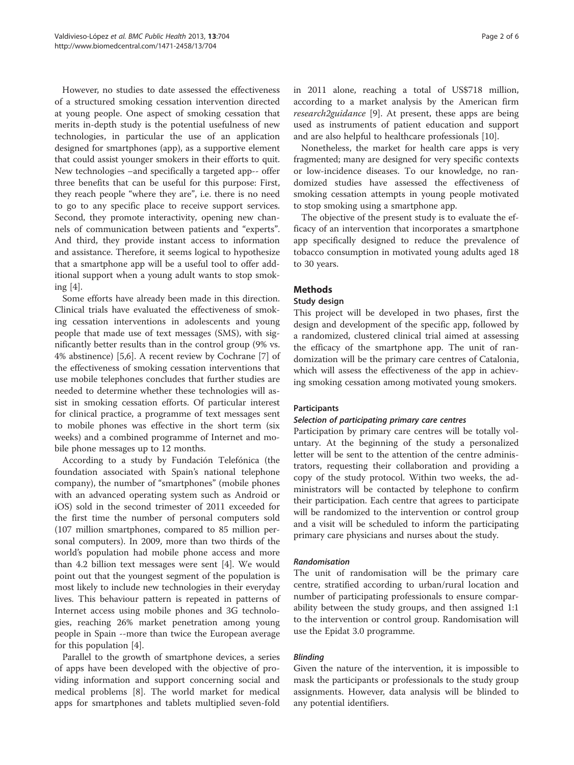However, no studies to date assessed the effectiveness of a structured smoking cessation intervention directed at young people. One aspect of smoking cessation that merits in-depth study is the potential usefulness of new technologies, in particular the use of an application designed for smartphones (app), as a supportive element that could assist younger smokers in their efforts to quit. New technologies –and specifically a targeted app-- offer three benefits that can be useful for this purpose: First, they reach people "where they are", i.e. there is no need to go to any specific place to receive support services. Second, they promote interactivity, opening new channels of communication between patients and "experts". And third, they provide instant access to information and assistance. Therefore, it seems logical to hypothesize that a smartphone app will be a useful tool to offer additional support when a young adult wants to stop smoking [\[4](#page-5-0)].

Some efforts have already been made in this direction. Clinical trials have evaluated the effectiveness of smoking cessation interventions in adolescents and young people that made use of text messages (SMS), with significantly better results than in the control group (9% vs. 4% abstinence) [\[5,6](#page-5-0)]. A recent review by Cochrane [\[7](#page-5-0)] of the effectiveness of smoking cessation interventions that use mobile telephones concludes that further studies are needed to determine whether these technologies will assist in smoking cessation efforts. Of particular interest for clinical practice, a programme of text messages sent to mobile phones was effective in the short term (six weeks) and a combined programme of Internet and mobile phone messages up to 12 months.

According to a study by Fundación Telefónica (the foundation associated with Spain's national telephone company), the number of "smartphones" (mobile phones with an advanced operating system such as Android or iOS) sold in the second trimester of 2011 exceeded for the first time the number of personal computers sold (107 million smartphones, compared to 85 million personal computers). In 2009, more than two thirds of the world's population had mobile phone access and more than 4.2 billion text messages were sent [[4\]](#page-5-0). We would point out that the youngest segment of the population is most likely to include new technologies in their everyday lives. This behaviour pattern is repeated in patterns of Internet access using mobile phones and 3G technologies, reaching 26% market penetration among young people in Spain --more than twice the European average for this population [\[4](#page-5-0)].

Parallel to the growth of smartphone devices, a series of apps have been developed with the objective of providing information and support concerning social and medical problems [[8\]](#page-5-0). The world market for medical apps for smartphones and tablets multiplied seven-fold in 2011 alone, reaching a total of US\$718 million, according to a market analysis by the American firm research2guidance [[9\]](#page-5-0). At present, these apps are being used as instruments of patient education and support and are also helpful to healthcare professionals [\[10\]](#page-5-0).

Nonetheless, the market for health care apps is very fragmented; many are designed for very specific contexts or low-incidence diseases. To our knowledge, no randomized studies have assessed the effectiveness of smoking cessation attempts in young people motivated to stop smoking using a smartphone app.

The objective of the present study is to evaluate the efficacy of an intervention that incorporates a smartphone app specifically designed to reduce the prevalence of tobacco consumption in motivated young adults aged 18 to 30 years.

## Methods

#### Study design

This project will be developed in two phases, first the design and development of the specific app, followed by a randomized, clustered clinical trial aimed at assessing the efficacy of the smartphone app. The unit of randomization will be the primary care centres of Catalonia, which will assess the effectiveness of the app in achieving smoking cessation among motivated young smokers.

#### **Participants**

#### Selection of participating primary care centres

Participation by primary care centres will be totally voluntary. At the beginning of the study a personalized letter will be sent to the attention of the centre administrators, requesting their collaboration and providing a copy of the study protocol. Within two weeks, the administrators will be contacted by telephone to confirm their participation. Each centre that agrees to participate will be randomized to the intervention or control group and a visit will be scheduled to inform the participating primary care physicians and nurses about the study.

#### Randomisation

The unit of randomisation will be the primary care centre, stratified according to urban/rural location and number of participating professionals to ensure comparability between the study groups, and then assigned 1:1 to the intervention or control group. Randomisation will use the Epidat 3.0 programme.

### Blinding

Given the nature of the intervention, it is impossible to mask the participants or professionals to the study group assignments. However, data analysis will be blinded to any potential identifiers.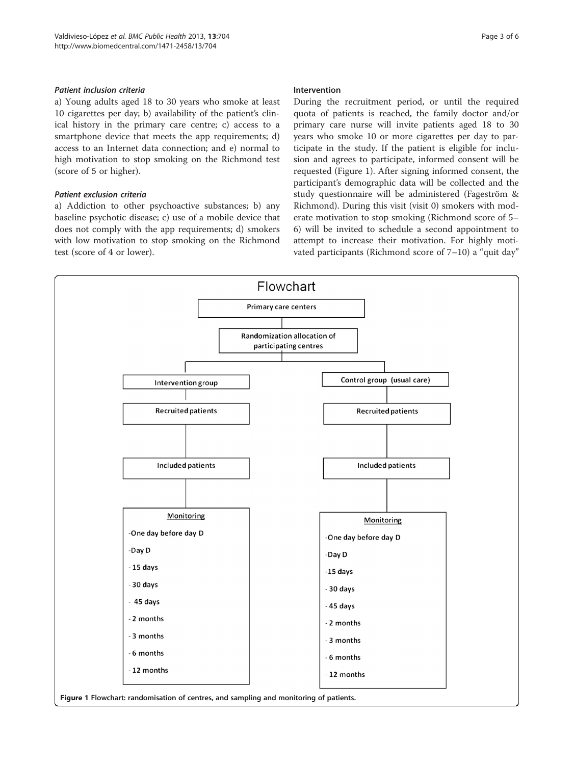## Patient inclusion criteria

a) Young adults aged 18 to 30 years who smoke at least 10 cigarettes per day; b) availability of the patient's clinical history in the primary care centre; c) access to a smartphone device that meets the app requirements; d) access to an Internet data connection; and e) normal to high motivation to stop smoking on the Richmond test (score of 5 or higher).

## Patient exclusion criteria

a) Addiction to other psychoactive substances; b) any baseline psychotic disease; c) use of a mobile device that does not comply with the app requirements; d) smokers with low motivation to stop smoking on the Richmond test (score of 4 or lower).

## Intervention

During the recruitment period, or until the required quota of patients is reached, the family doctor and/or primary care nurse will invite patients aged 18 to 30 years who smoke 10 or more cigarettes per day to participate in the study. If the patient is eligible for inclusion and agrees to participate, informed consent will be requested (Figure 1). After signing informed consent, the participant's demographic data will be collected and the study questionnaire will be administered (Fageström & Richmond). During this visit (visit 0) smokers with moderate motivation to stop smoking (Richmond score of 5– 6) will be invited to schedule a second appointment to attempt to increase their motivation. For highly motivated participants (Richmond score of 7–10) a "quit day"

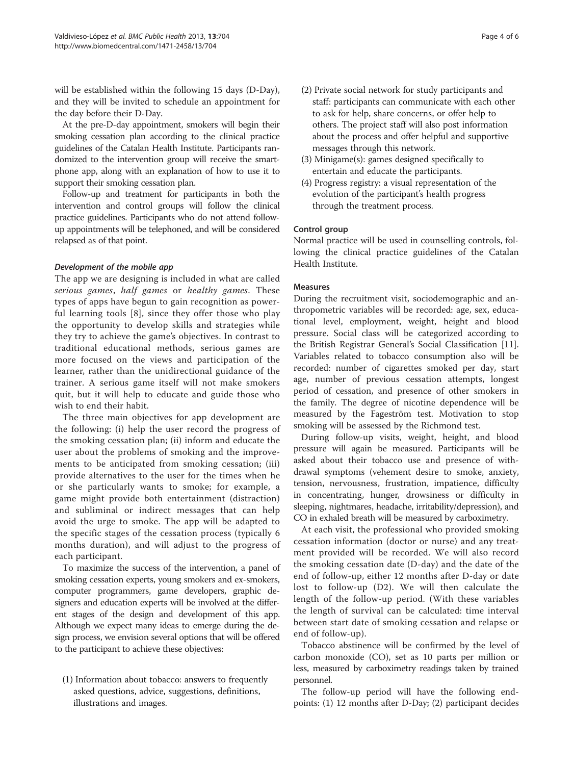will be established within the following 15 days (D-Day), and they will be invited to schedule an appointment for the day before their D-Day.

At the pre-D-day appointment, smokers will begin their smoking cessation plan according to the clinical practice guidelines of the Catalan Health Institute. Participants randomized to the intervention group will receive the smartphone app, along with an explanation of how to use it to support their smoking cessation plan.

Follow-up and treatment for participants in both the intervention and control groups will follow the clinical practice guidelines. Participants who do not attend followup appointments will be telephoned, and will be considered relapsed as of that point.

## Development of the mobile app

The app we are designing is included in what are called serious games, half games or healthy games. These types of apps have begun to gain recognition as powerful learning tools [[8\]](#page-5-0), since they offer those who play the opportunity to develop skills and strategies while they try to achieve the game's objectives. In contrast to traditional educational methods, serious games are more focused on the views and participation of the learner, rather than the unidirectional guidance of the trainer. A serious game itself will not make smokers quit, but it will help to educate and guide those who wish to end their habit.

The three main objectives for app development are the following: (i) help the user record the progress of the smoking cessation plan; (ii) inform and educate the user about the problems of smoking and the improvements to be anticipated from smoking cessation; (iii) provide alternatives to the user for the times when he or she particularly wants to smoke; for example, a game might provide both entertainment (distraction) and subliminal or indirect messages that can help avoid the urge to smoke. The app will be adapted to the specific stages of the cessation process (typically 6 months duration), and will adjust to the progress of each participant.

To maximize the success of the intervention, a panel of smoking cessation experts, young smokers and ex-smokers, computer programmers, game developers, graphic designers and education experts will be involved at the different stages of the design and development of this app. Although we expect many ideas to emerge during the design process, we envision several options that will be offered to the participant to achieve these objectives:

(1) Information about tobacco: answers to frequently asked questions, advice, suggestions, definitions, illustrations and images.

- (2) Private social network for study participants and staff: participants can communicate with each other to ask for help, share concerns, or offer help to others. The project staff will also post information about the process and offer helpful and supportive messages through this network.
- (3) Minigame(s): games designed specifically to entertain and educate the participants.
- (4) Progress registry: a visual representation of the evolution of the participant's health progress through the treatment process.

#### Control group

Normal practice will be used in counselling controls, following the clinical practice guidelines of the Catalan Health Institute.

## Measures

During the recruitment visit, sociodemographic and anthropometric variables will be recorded: age, sex, educational level, employment, weight, height and blood pressure. Social class will be categorized according to the British Registrar General's Social Classification [\[11](#page-5-0)]. Variables related to tobacco consumption also will be recorded: number of cigarettes smoked per day, start age, number of previous cessation attempts, longest period of cessation, and presence of other smokers in the family. The degree of nicotine dependence will be measured by the Fageström test. Motivation to stop smoking will be assessed by the Richmond test.

During follow-up visits, weight, height, and blood pressure will again be measured. Participants will be asked about their tobacco use and presence of withdrawal symptoms (vehement desire to smoke, anxiety, tension, nervousness, frustration, impatience, difficulty in concentrating, hunger, drowsiness or difficulty in sleeping, nightmares, headache, irritability/depression), and CO in exhaled breath will be measured by carboximetry.

At each visit, the professional who provided smoking cessation information (doctor or nurse) and any treatment provided will be recorded. We will also record the smoking cessation date (D-day) and the date of the end of follow-up, either 12 months after D-day or date lost to follow-up (D2). We will then calculate the length of the follow-up period. (With these variables the length of survival can be calculated: time interval between start date of smoking cessation and relapse or end of follow-up).

Tobacco abstinence will be confirmed by the level of carbon monoxide (CO), set as 10 parts per million or less, measured by carboximetry readings taken by trained personnel.

The follow-up period will have the following endpoints: (1) 12 months after D-Day; (2) participant decides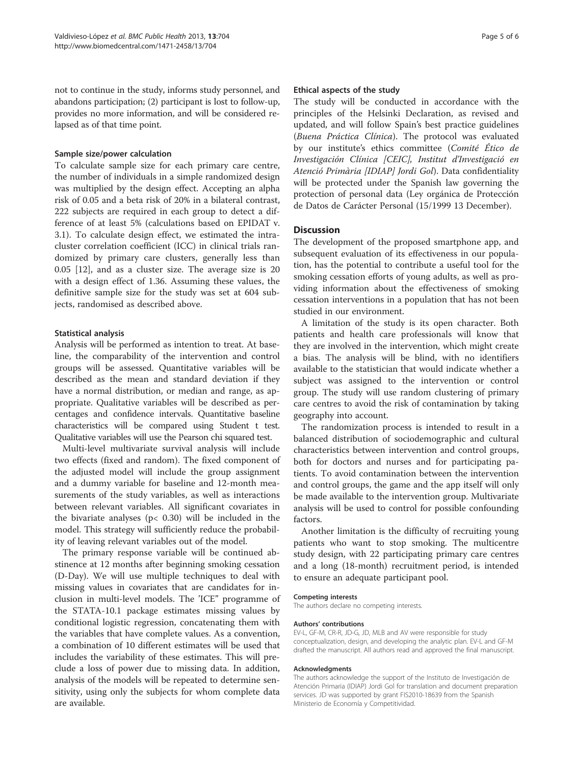not to continue in the study, informs study personnel, and abandons participation; (2) participant is lost to follow-up, provides no more information, and will be considered relapsed as of that time point.

#### Sample size/power calculation

To calculate sample size for each primary care centre, the number of individuals in a simple randomized design was multiplied by the design effect. Accepting an alpha risk of 0.05 and a beta risk of 20% in a bilateral contrast, 222 subjects are required in each group to detect a difference of at least 5% (calculations based on EPIDAT v. 3.1). To calculate design effect, we estimated the intracluster correlation coefficient (ICC) in clinical trials randomized by primary care clusters, generally less than 0.05 [\[12\]](#page-5-0), and as a cluster size. The average size is 20 with a design effect of 1.36. Assuming these values, the definitive sample size for the study was set at 604 subjects, randomised as described above.

## Statistical analysis

Analysis will be performed as intention to treat. At baseline, the comparability of the intervention and control groups will be assessed. Quantitative variables will be described as the mean and standard deviation if they have a normal distribution, or median and range, as appropriate. Qualitative variables will be described as percentages and confidence intervals. Quantitative baseline characteristics will be compared using Student t test. Qualitative variables will use the Pearson chi squared test.

Multi-level multivariate survival analysis will include two effects (fixed and random). The fixed component of the adjusted model will include the group assignment and a dummy variable for baseline and 12-month measurements of the study variables, as well as interactions between relevant variables. All significant covariates in the bivariate analyses ( $p$ < 0.30) will be included in the model. This strategy will sufficiently reduce the probability of leaving relevant variables out of the model.

The primary response variable will be continued abstinence at 12 months after beginning smoking cessation (D-Day). We will use multiple techniques to deal with missing values in covariates that are candidates for inclusion in multi-level models. The 'ICE" programme of the STATA-10.1 package estimates missing values by conditional logistic regression, concatenating them with the variables that have complete values. As a convention, a combination of 10 different estimates will be used that includes the variability of these estimates. This will preclude a loss of power due to missing data. In addition, analysis of the models will be repeated to determine sensitivity, using only the subjects for whom complete data are available.

#### Ethical aspects of the study

The study will be conducted in accordance with the principles of the Helsinki Declaration, as revised and updated, and will follow Spain's best practice guidelines (Buena Práctica Clínica). The protocol was evaluated by our institute's ethics committee (Comité Ético de Investigación Clínica [CEIC], Institut d'Investigació en Atenció Primària [IDIAP] Jordi Gol). Data confidentiality will be protected under the Spanish law governing the protection of personal data (Ley orgánica de Protección de Datos de Carácter Personal (15/1999 13 December).

#### **Discussion**

The development of the proposed smartphone app, and subsequent evaluation of its effectiveness in our population, has the potential to contribute a useful tool for the smoking cessation efforts of young adults, as well as providing information about the effectiveness of smoking cessation interventions in a population that has not been studied in our environment.

A limitation of the study is its open character. Both patients and health care professionals will know that they are involved in the intervention, which might create a bias. The analysis will be blind, with no identifiers available to the statistician that would indicate whether a subject was assigned to the intervention or control group. The study will use random clustering of primary care centres to avoid the risk of contamination by taking geography into account.

The randomization process is intended to result in a balanced distribution of sociodemographic and cultural characteristics between intervention and control groups, both for doctors and nurses and for participating patients. To avoid contamination between the intervention and control groups, the game and the app itself will only be made available to the intervention group. Multivariate analysis will be used to control for possible confounding factors.

Another limitation is the difficulty of recruiting young patients who want to stop smoking. The multicentre study design, with 22 participating primary care centres and a long (18-month) recruitment period, is intended to ensure an adequate participant pool.

#### Competing interests

The authors declare no competing interests.

#### Authors' contributions

EV-L, GF-M, CR-R, JD-G, JD, MLB and AV were responsible for study conceptualization, design, and developing the analytic plan. EV-L and GF-M drafted the manuscript. All authors read and approved the final manuscript.

#### Acknowledgments

The authors acknowledge the support of the Instituto de Investigación de Atención Primaria (IDIAP) Jordi Gol for translation and document preparation services. JD was supported by grant FIS2010-18639 from the Spanish Ministerio de Economía y Competitividad.